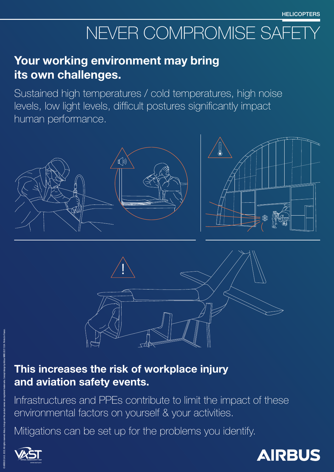#### This increases the risk of workplace injury and aviation safety events.

Infrastructures and PPEs contribute to limit the impact of these environmental factors on yourself & your activities.

Mitigations can be set up for the problems you identify.





## Your working environment may bring its own challenges.

Sustained high temperatures / cold temperatures, high noise levels, low light levels, difficult postures significantly impact human performance.





## NEVER COMPROMISE SAFETY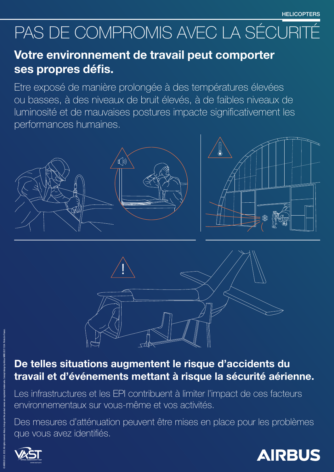De telles situations augmentent le risque d'accidents du travail et d'événements mettant à risque la sécurité aérienne. Les infrastructures et les EPI contribuent à limiter l'impact de ces facteurs environnementaux sur vous-même et vos activités. Des mesures d'atténuation peuvent être mises en place pour les problèmes que vous avez identifiés.





## Votre environnement de travail peut comporter ses propres défis.

Etre exposé de manière prolongée à des températures élevées ou basses, à des niveaux de bruit élevés, à de faibles niveaux de luminosité et de mauvaises postures impacte significativement les performances humaines.







# PAS DE COMPROMIS AVEC LA SÉCURITÉ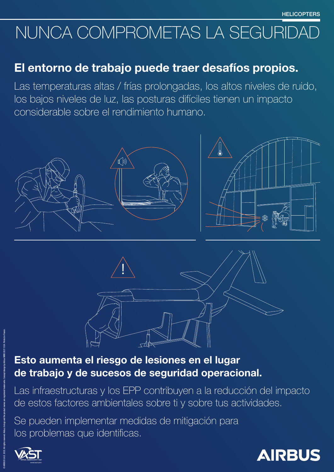Esto aumenta el riesgo de lesiones en el lugar de trabajo y de sucesos de seguridad operacional. Las infraestructuras y los EPP contribuyen a la reducción del impacto de estos factores ambientales sobre ti y sobre tus actividades. Se pueden implementar medidas de mitigación para los problemas que identificas.





#### El entorno de trabajo puede traer desafíos propios.

Las temperaturas altas / frías prolongadas, los altos niveles de ruido, los bajos niveles de luz, las posturas difíciles tienen un impacto considerable sobre el rendimiento humano.



© AIRBUS S.A.S. 2022. All rights reserved. Airbus, its logo and the product names are registered trademarks. Concept design by Airbus MMS 20211324. Printed in France.

## NUNCA COMPROMETAS LA SEGURIDAD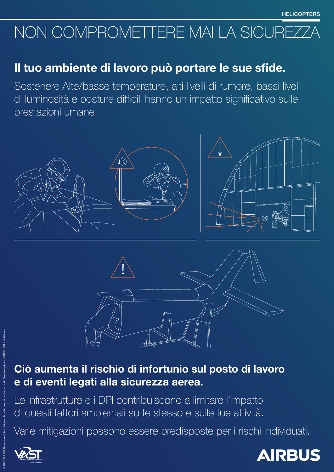## NON COMPROMETTERE MAI LA SICUREZZ

#### Ciò aumenta il rischio di infortunio sul posto di lavoro e di eventi legati alla sicurezza aerea.

Le infrastrutture e i DPI contribuiscono a limitare l'impatto di questi fattori ambientali su te stesso e sulle tue attività.

Varie mitigazioni possono essere predisposte per i rischi individuati.





#### Il tuo ambiente di lavoro può portare le sue sfide.

Sostenere Alte/basse temperature, alti livelli di rumore, bassi livelli di luminosità e posture difficili hanno un impatto significativo sulle prestazioni umane.



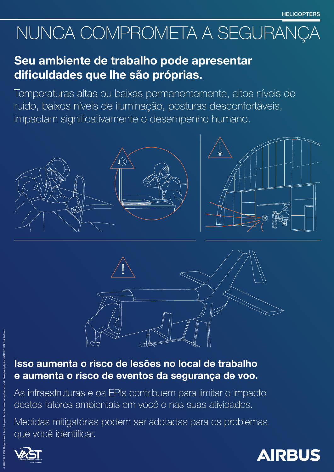## Isso aumenta o risco de lesões no local de trabalho e aumenta o risco de eventos da segurança de voo. As infraestruturas e os EPIs contribuem para limitar o impacto destes fatores ambientais em você e nas suas atividades. Medidas mitigatórias podem ser adotadas para os problemas que você identificar.





### Seu ambiente de trabalho pode apresentar dificuldades que lhe são próprias.

Temperaturas altas ou baixas permanentemente, altos níveis de ruído, baixos níveis de iluminação, posturas desconfortáveis, impactam significativamente o desempenho humano.







# NUNCA COMPROMETA A SEGURANÇA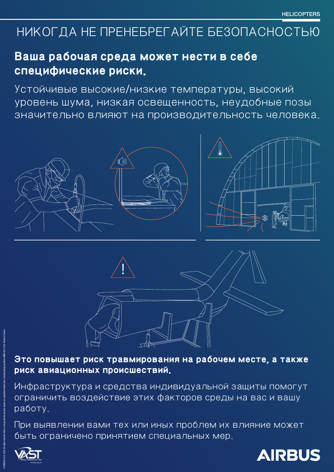## **Это повышает риск травмирования на рабочем месте, а также риск авиационных происшествий.**

Инфраструктура и средства индивидуальной защиты помогут ограничить воздействие этих факторов среды на вас и вашу работу.

#### При выявлении вами тех или иных проблем их влияние может быть ограничено принятием специальных мер.





#### **Ваша рабочая среда может нести в себе специфические риски.**

Устойчивые высокие/низкие температуры, высокий уровень шума, низкая освещенность, неудобные позы значительно влияют на производительность человека.





## НИКОГДА НЕ ПРЕНЕБРЕГАЙТЕ БЕЗОПАСНОСТЬЮ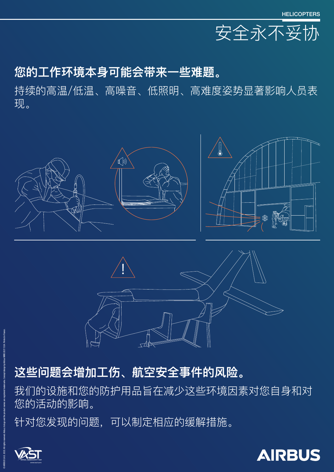## **这些问题会增加工伤、航空安全事件的风险。**

#### 我们的设施和您的防护用品旨在减少这些环境因素对您自身和对 您的活动的影响。

#### 针对您发现的问题,可以制定相应的缓解措施。





#### **您的工作环境本身可能会带来一些难题。**

持续的高温/低温、高噪音、低照明、高难度姿势显著影响人员表 现。





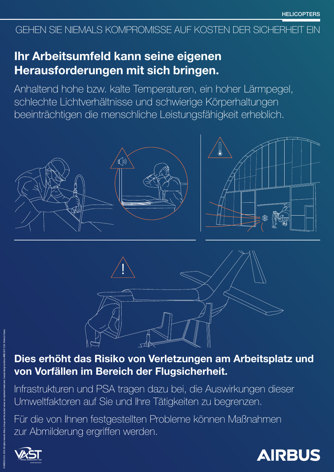## Dies erhöht das Risiko von Verletzungen am Arbeitsplatz und von Vorfällen im Bereich der Flugsicherheit. Infrastrukturen und PSA tragen dazu bei, die Auswirkungen dieser Umweltfaktoren auf Sie und Ihre Tätigkeiten zu begrenzen. Für die von Ihnen festgestellten Probleme können Maßnahmen zur Abmilderung ergriffen werden.





### Ihr Arbeitsumfeld kann seine eigenen Herausforderungen mit sich bringen.

Anhaltend hohe bzw. kalte Temperaturen, ein hoher Lärmpegel, schlechte Lichtverhältnisse und schwierige Körperhaltungen beeinträchtigen die menschliche Leistungsfähigkeit erheblich.





#### GEHEN SIE NIEMALS KOMPROMISSE AUF KOSTEN DER SICHERHEIT EIN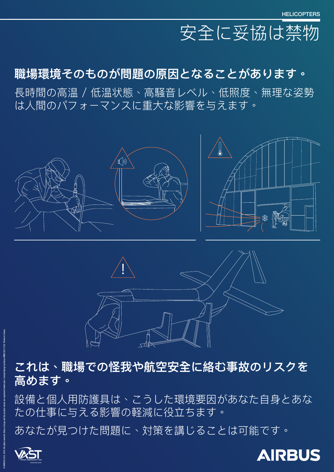## **これは、職場での怪我や航空安全に絡む事故のリスクを 高めます。**

#### 設備と個人用防護具は、こうした環境要因があなた自身とあな たの仕事に与える影響の軽減に役立ちます。

#### あなたが見つけた問題に、対策を講じることは可能です。





## **職場環境そのものが問題の原因となることがあります。**

長時間の高温 / 低温状態、高騒音レベル、低照度、無理な姿勢 は人間のパフォーマンスに重大な影響を与えます。



# 安全に妥協は禁物